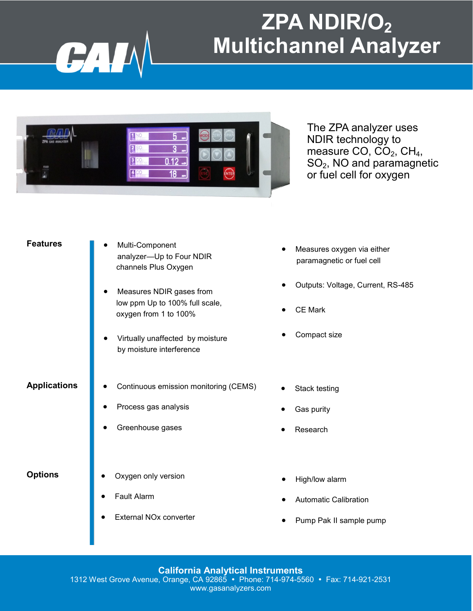### **ZPA NDIR/O<sup>2</sup> Multichannel Analyzer**



CAI

The ZPA analyzer uses NDIR technology to measure CO,  $CO<sub>2</sub>$ , CH<sub>4</sub>,  $SO<sub>2</sub>$ , NO and paramagnetic or fuel cell for oxygen

| Features |
|----------|
|----------|

| <b>Features</b>     | Multi-Component<br>analyzer-Up to Four NDIR<br>channels Plus Oxygen                 |  |
|---------------------|-------------------------------------------------------------------------------------|--|
|                     | Measures NDIR gases from<br>low ppm Up to 100% full scale,<br>oxygen from 1 to 100% |  |
|                     | Virtually unaffected by moisture<br>by moisture interference                        |  |
| <b>Applications</b> | Continuous emission monitoring (CEMS)                                               |  |
|                     | Process gas analysis                                                                |  |
|                     | Greenhouse gases                                                                    |  |
| <b>Options</b>      | Oxygen only version                                                                 |  |

- **Options**
	- Fault Alarm
	- External NOx converter
- Measures oxygen via either paramagnetic or fuel cell
- Outputs: Voltage, Current, RS-485
- CE Mark
- Compact size
- Stack testing
- Gas purity
- Research
- High/low alarm
- Automatic Calibration
- Pump Pak II sample pump

### **California Analytical Instruments** 1312 West Grove Avenue, Orange, CA 92865 Phone: 714-974-5560 Fax: 714-921-2531 www.gasanalyzers.com